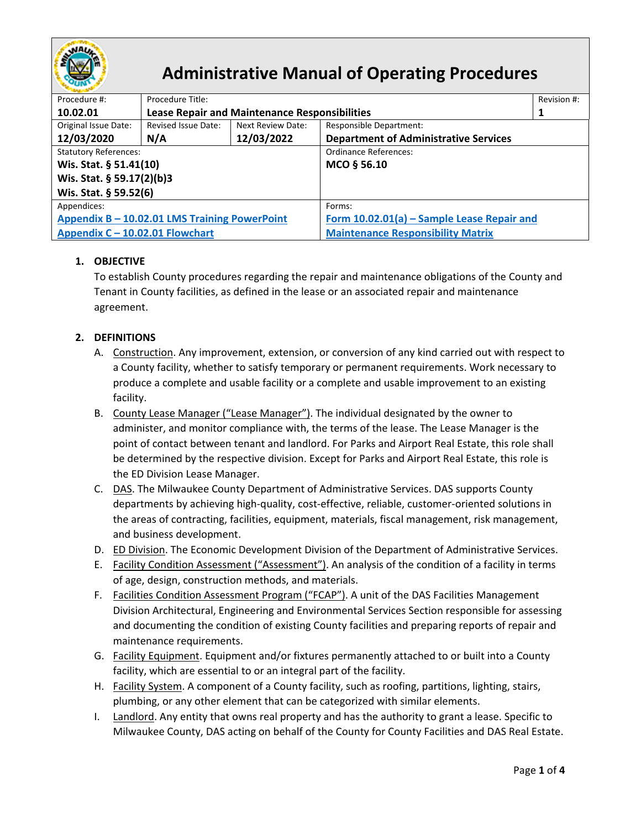

# **Administrative Manual of Operating Procedures**

| Revision #:                                   |                                                      |                   |                                              |   |  |  |
|-----------------------------------------------|------------------------------------------------------|-------------------|----------------------------------------------|---|--|--|
| Procedure #:                                  | Procedure Title:                                     |                   |                                              |   |  |  |
| 10.02.01                                      | <b>Lease Repair and Maintenance Responsibilities</b> |                   |                                              | 1 |  |  |
| Original Issue Date:                          | Revised Issue Date:                                  | Next Review Date: | Responsible Department:                      |   |  |  |
| 12/03/2020                                    | N/A                                                  | 12/03/2022        | <b>Department of Administrative Services</b> |   |  |  |
| <b>Statutory References:</b>                  |                                                      |                   | <b>Ordinance References:</b>                 |   |  |  |
| Wis. Stat. § 51.41(10)                        |                                                      |                   | MCO § 56.10                                  |   |  |  |
| Wis. Stat. § 59.17(2)(b)3                     |                                                      |                   |                                              |   |  |  |
| Wis. Stat. § 59.52(6)                         |                                                      |                   |                                              |   |  |  |
| Appendices:                                   |                                                      |                   | Forms:                                       |   |  |  |
| Appendix B - 10.02.01 LMS Training PowerPoint |                                                      |                   | Form 10.02.01(a) - Sample Lease Repair and   |   |  |  |
| Appendix C - 10.02.01 Flowchart               |                                                      |                   | <b>Maintenance Responsibility Matrix</b>     |   |  |  |

# **1. OBJECTIVE**

To establish County procedures regarding the repair and maintenance obligations of the County and Tenant in County facilities, as defined in the lease or an associated repair and maintenance agreement.

# **2. DEFINITIONS**

- A. Construction. Any improvement, extension, or conversion of any kind carried out with respect to a County facility, whether to satisfy temporary or permanent requirements. Work necessary to produce a complete and usable facility or a complete and usable improvement to an existing facility.
- B. County Lease Manager ("Lease Manager"). The individual designated by the owner to administer, and monitor compliance with, the terms of the lease. The Lease Manager is the point of contact between tenant and landlord. For Parks and Airport Real Estate, this role shall be determined by the respective division. Except for Parks and Airport Real Estate, this role is the ED Division Lease Manager.
- C. DAS. The Milwaukee County Department of Administrative Services. DAS supports County departments by achieving high-quality, cost-effective, reliable, customer-oriented solutions in the areas of contracting, facilities, equipment, materials, fiscal management, risk management, and business development.
- D. ED Division. The Economic Development Division of the Department of Administrative Services.
- E. Facility Condition Assessment ("Assessment"). An analysis of the condition of a facility in terms of age, design, construction methods, and materials.
- F. Facilities Condition Assessment Program ("FCAP"). A unit of the DAS Facilities Management Division Architectural, Engineering and Environmental Services Section responsible for assessing and documenting the condition of existing County facilities and preparing reports of repair and maintenance requirements.
- G. Facility Equipment. Equipment and/or fixtures permanently attached to or built into a County facility, which are essential to or an integral part of the facility.
- H. Facility System. A component of a County facility, such as roofing, partitions, lighting, stairs, plumbing, or any other element that can be categorized with similar elements.
- I. Landlord. Any entity that owns real property and has the authority to grant a lease. Specific to Milwaukee County, DAS acting on behalf of the County for County Facilities and DAS Real Estate.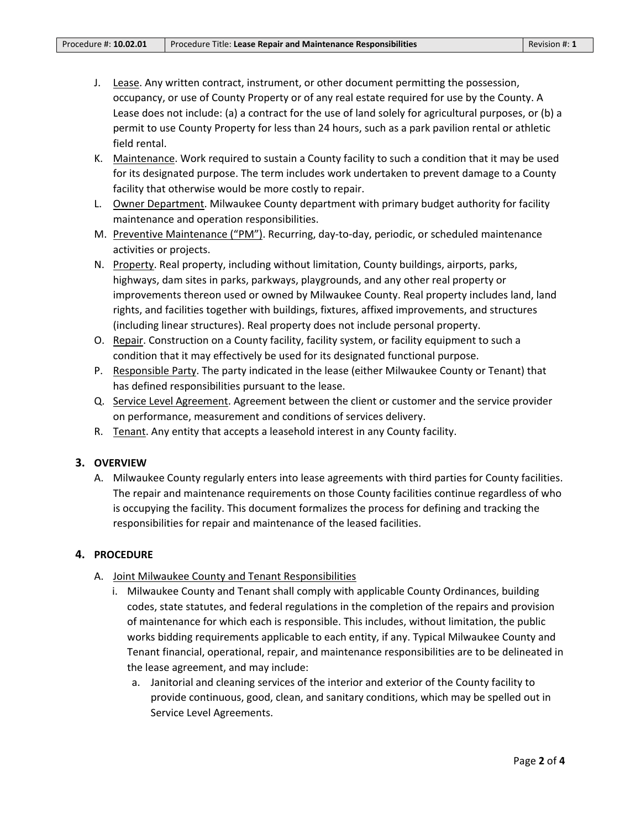- J. Lease. Any written contract, instrument, or other document permitting the possession, occupancy, or use of County Property or of any real estate required for use by the County. A Lease does not include: (a) a contract for the use of land solely for agricultural purposes, or (b) a permit to use County Property for less than 24 hours, such as a park pavilion rental or athletic field rental.
- K. Maintenance. Work required to sustain a County facility to such a condition that it may be used for its designated purpose. The term includes work undertaken to prevent damage to a County facility that otherwise would be more costly to repair.
- L. **Owner Department**. Milwaukee County department with primary budget authority for facility maintenance and operation responsibilities.
- M. Preventive Maintenance ("PM"). Recurring, day-to-day, periodic, or scheduled maintenance activities or projects.
- N. Property. Real property, including without limitation, County buildings, airports, parks, highways, dam sites in parks, parkways, playgrounds, and any other real property or improvements thereon used or owned by Milwaukee County. Real property includes land, land rights, and facilities together with buildings, fixtures, affixed improvements, and structures (including linear structures). Real property does not include personal property.
- O. Repair. Construction on a County facility, facility system, or facility equipment to such a condition that it may effectively be used for its designated functional purpose.
- P. Responsible Party. The party indicated in the lease (either Milwaukee County or Tenant) that has defined responsibilities pursuant to the lease.
- Q. Service Level Agreement. Agreement between the client or customer and the service provider on performance, measurement and conditions of services delivery.
- R. Tenant. Any entity that accepts a leasehold interest in any County facility.

### **3. OVERVIEW**

A. Milwaukee County regularly enters into lease agreements with third parties for County facilities. The repair and maintenance requirements on those County facilities continue regardless of who is occupying the facility. This document formalizes the process for defining and tracking the responsibilities for repair and maintenance of the leased facilities.

### **4. PROCEDURE**

- A. Joint Milwaukee County and Tenant Responsibilities
	- i. Milwaukee County and Tenant shall comply with applicable County Ordinances, building codes, state statutes, and federal regulations in the completion of the repairs and provision of maintenance for which each is responsible. This includes, without limitation, the public works bidding requirements applicable to each entity, if any. Typical Milwaukee County and Tenant financial, operational, repair, and maintenance responsibilities are to be delineated in the lease agreement, and may include:
		- a. Janitorial and cleaning services of the interior and exterior of the County facility to provide continuous, good, clean, and sanitary conditions, which may be spelled out in Service Level Agreements.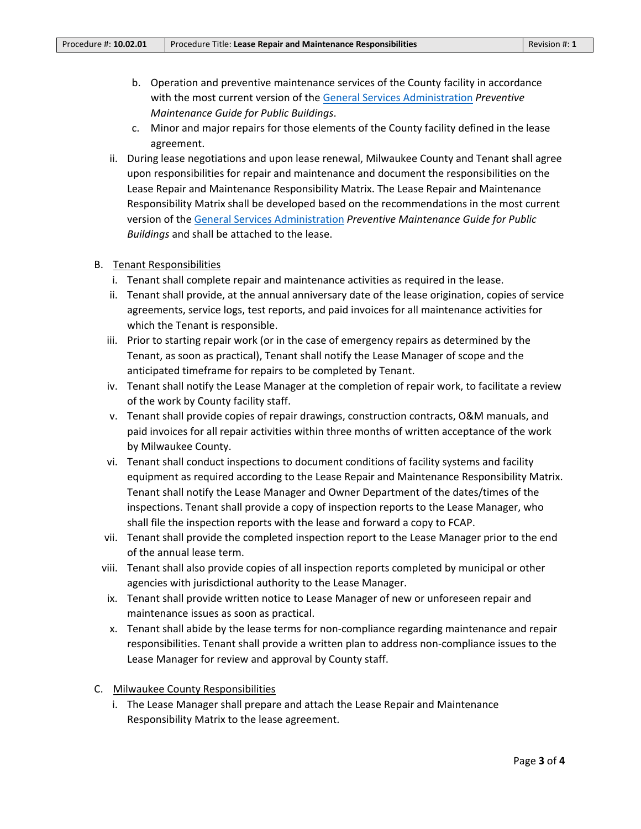- b. Operation and preventive maintenance services of the County facility in accordance with the most current version of th[e General Services Administration](https://www.gsa.gov/) *Preventive Maintenance Guide for Public Buildings*.
- c. Minor and major repairs for those elements of the County facility defined in the lease agreement.
- ii. During lease negotiations and upon lease renewal, Milwaukee County and Tenant shall agree upon responsibilities for repair and maintenance and document the responsibilities on the Lease Repair and Maintenance Responsibility Matrix. The Lease Repair and Maintenance Responsibility Matrix shall be developed based on the recommendations in the most current version of th[e General Services Administration](https://www.gsa.gov/) *Preventive Maintenance Guide for Public Buildings* and shall be attached to the lease.

#### B. Tenant Responsibilities

- i. Tenant shall complete repair and maintenance activities as required in the lease.
- ii. Tenant shall provide, at the annual anniversary date of the lease origination, copies of service agreements, service logs, test reports, and paid invoices for all maintenance activities for which the Tenant is responsible.
- iii. Prior to starting repair work (or in the case of emergency repairs as determined by the Tenant, as soon as practical), Tenant shall notify the Lease Manager of scope and the anticipated timeframe for repairs to be completed by Tenant.
- iv. Tenant shall notify the Lease Manager at the completion of repair work, to facilitate a review of the work by County facility staff.
- v. Tenant shall provide copies of repair drawings, construction contracts, O&M manuals, and paid invoices for all repair activities within three months of written acceptance of the work by Milwaukee County.
- vi. Tenant shall conduct inspections to document conditions of facility systems and facility equipment as required according to the Lease Repair and Maintenance Responsibility Matrix. Tenant shall notify the Lease Manager and Owner Department of the dates/times of the inspections. Tenant shall provide a copy of inspection reports to the Lease Manager, who shall file the inspection reports with the lease and forward a copy to FCAP.
- vii. Tenant shall provide the completed inspection report to the Lease Manager prior to the end of the annual lease term.
- viii. Tenant shall also provide copies of all inspection reports completed by municipal or other agencies with jurisdictional authority to the Lease Manager.
- ix. Tenant shall provide written notice to Lease Manager of new or unforeseen repair and maintenance issues as soon as practical.
- x. Tenant shall abide by the lease terms for non-compliance regarding maintenance and repair responsibilities. Tenant shall provide a written plan to address non-compliance issues to the Lease Manager for review and approval by County staff.

#### C. Milwaukee County Responsibilities

i. The Lease Manager shall prepare and attach the Lease Repair and Maintenance Responsibility Matrix to the lease agreement.